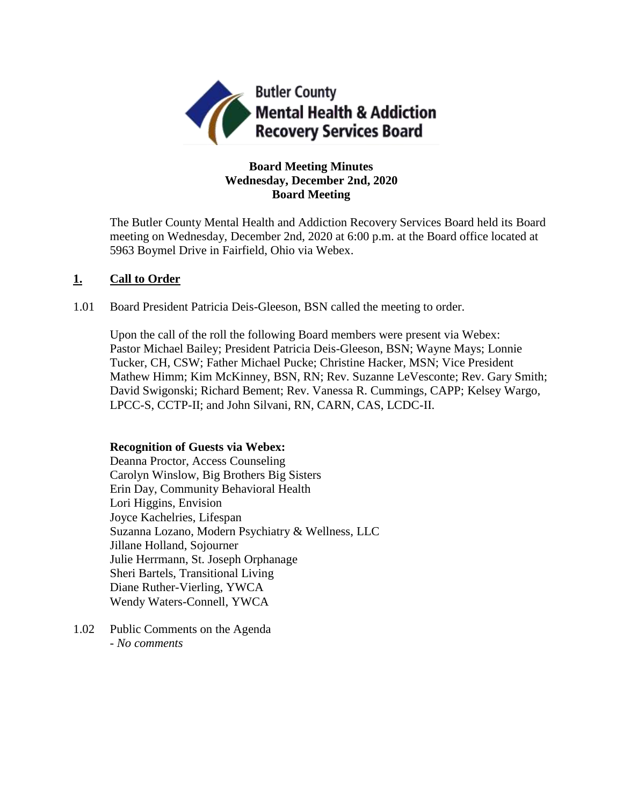

# **Board Meeting Minutes Wednesday, December 2nd, 2020 Board Meeting**

The Butler County Mental Health and Addiction Recovery Services Board held its Board meeting on Wednesday, December 2nd, 2020 at 6:00 p.m. at the Board office located at 5963 Boymel Drive in Fairfield, Ohio via Webex.

# **1. Call to Order**

1.01 Board President Patricia Deis-Gleeson, BSN called the meeting to order.

Upon the call of the roll the following Board members were present via Webex: Pastor Michael Bailey; President Patricia Deis-Gleeson, BSN; Wayne Mays; Lonnie Tucker, CH, CSW; Father Michael Pucke; Christine Hacker, MSN; Vice President Mathew Himm; Kim McKinney, BSN, RN; Rev. Suzanne LeVesconte; Rev. Gary Smith; David Swigonski; Richard Bement; Rev. Vanessa R. Cummings, CAPP; Kelsey Wargo, LPCC-S, CCTP-II; and John Silvani, RN, CARN, CAS, LCDC-II.

## **Recognition of Guests via Webex:**

Deanna Proctor, Access Counseling Carolyn Winslow, Big Brothers Big Sisters Erin Day, Community Behavioral Health Lori Higgins, Envision Joyce Kachelries, Lifespan Suzanna Lozano, Modern Psychiatry & Wellness, LLC Jillane Holland, Sojourner Julie Herrmann, St. Joseph Orphanage Sheri Bartels, Transitional Living Diane Ruther-Vierling, YWCA Wendy Waters-Connell, YWCA

1.02 Public Comments on the Agenda - *No comments*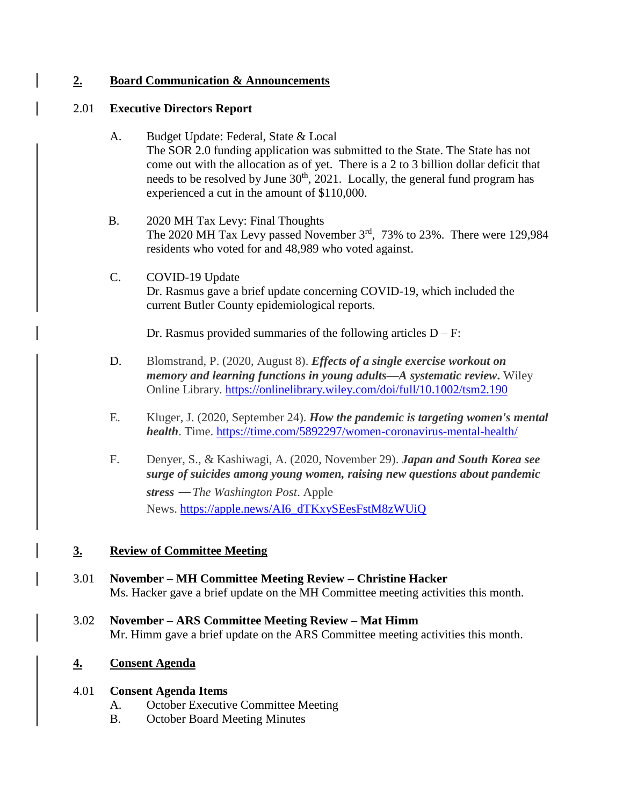# **2. Board Communication & Announcements**

## 2.01 **Executive Directors Report**

- A. Budget Update: Federal, State & Local The SOR 2.0 funding application was submitted to the State. The State has not come out with the allocation as of yet. There is a 2 to 3 billion dollar deficit that needs to be resolved by June 30<sup>th</sup>, 2021. Locally, the general fund program has experienced a cut in the amount of \$110,000.
- B. 2020 MH Tax Levy: Final Thoughts The 2020 MH Tax Levy passed November  $3<sup>rd</sup>$ , 73% to 23%. There were 129,984 residents who voted for and 48,989 who voted against.
- C. COVID-19 Update Dr. Rasmus gave a brief update concerning COVID-19, which included the current Butler County epidemiological reports.

Dr. Rasmus provided summaries of the following articles  $D - F$ :

- D. Blomstrand, P. (2020, August 8). *Effects of a single exercise workout on memory and learning functions in young adults—A systematic review***.** Wiley Online Library. <https://onlinelibrary.wiley.com/doi/full/10.1002/tsm2.190>
- E. Kluger, J. (2020, September 24). *How the pandemic is targeting women's mental health*. Time. <https://time.com/5892297/women-coronavirus-mental-health/>
- F. Denyer, S., & Kashiwagi, A. (2020, November 29). *Japan and South Korea see surge of suicides among young women, raising new questions about pandemic stress* — *The Washington Post*. Apple News. [https://apple.news/AI6\\_dTKxySEesFstM8zWUiQ](https://apple.news/AI6_dTKxySEesFstM8zWUiQ)

# **3. Review of Committee Meeting**

- 3.01 **November – MH Committee Meeting Review – Christine Hacker** Ms. Hacker gave a brief update on the MH Committee meeting activities this month.
- 3.02 **November – ARS Committee Meeting Review – Mat Himm** Mr. Himm gave a brief update on the ARS Committee meeting activities this month.

# **4. Consent Agenda**

## 4.01 **Consent Agenda Items**

- A. October Executive Committee Meeting
- B. October Board Meeting Minutes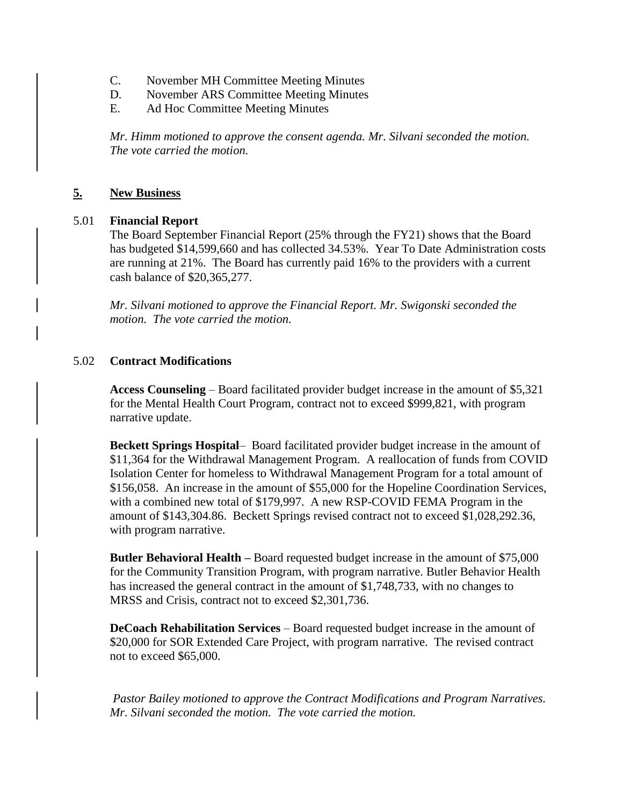- C. November MH Committee Meeting Minutes
- D. November ARS Committee Meeting Minutes
- E. Ad Hoc Committee Meeting Minutes

*Mr. Himm motioned to approve the consent agenda. Mr. Silvani seconded the motion. The vote carried the motion.*

# **5. New Business**

## 5.01 **Financial Report**

The Board September Financial Report (25% through the FY21) shows that the Board has budgeted \$14,599,660 and has collected 34.53%. Year To Date Administration costs are running at 21%. The Board has currently paid 16% to the providers with a current cash balance of \$20,365,277.

*Mr. Silvani motioned to approve the Financial Report. Mr. Swigonski seconded the motion. The vote carried the motion.*

## 5.02 **Contract Modifications**

**Access Counseling** – Board facilitated provider budget increase in the amount of \$5,321 for the Mental Health Court Program, contract not to exceed \$999,821, with program narrative update.

**Beckett Springs Hospital**– Board facilitated provider budget increase in the amount of \$11,364 for the Withdrawal Management Program. A reallocation of funds from COVID Isolation Center for homeless to Withdrawal Management Program for a total amount of \$156,058. An increase in the amount of \$55,000 for the Hopeline Coordination Services, with a combined new total of \$179,997. A new RSP-COVID FEMA Program in the amount of \$143,304.86. Beckett Springs revised contract not to exceed \$1,028,292.36, with program narrative.

**Butler Behavioral Health –** Board requested budget increase in the amount of \$75,000 for the Community Transition Program, with program narrative. Butler Behavior Health has increased the general contract in the amount of \$1,748,733, with no changes to MRSS and Crisis, contract not to exceed \$2,301,736.

**DeCoach Rehabilitation Services** – Board requested budget increase in the amount of \$20,000 for SOR Extended Care Project, with program narrative. The revised contract not to exceed \$65,000.

*Pastor Bailey motioned to approve the Contract Modifications and Program Narratives. Mr. Silvani seconded the motion. The vote carried the motion.*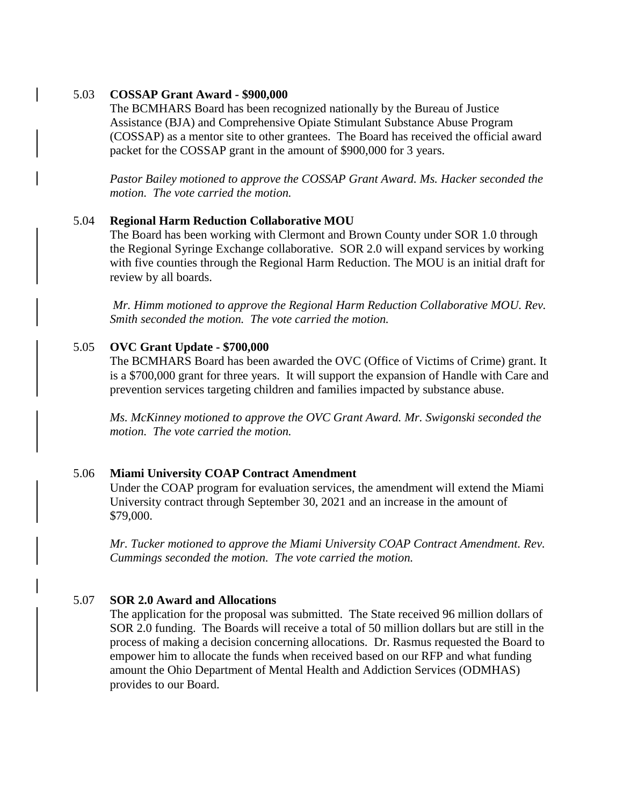### 5.03 **COSSAP Grant Award - \$900,000**

The BCMHARS Board has been recognized nationally by the Bureau of Justice Assistance (BJA) and Comprehensive Opiate Stimulant Substance Abuse Program (COSSAP) as a mentor site to other grantees. The Board has received the official award packet for the COSSAP grant in the amount of \$900,000 for 3 years.

*Pastor Bailey motioned to approve the COSSAP Grant Award. Ms. Hacker seconded the motion. The vote carried the motion.*

### 5.04 **Regional Harm Reduction Collaborative MOU**

The Board has been working with Clermont and Brown County under SOR 1.0 through the Regional Syringe Exchange collaborative. SOR 2.0 will expand services by working with five counties through the Regional Harm Reduction. The MOU is an initial draft for review by all boards.

*Mr. Himm motioned to approve the Regional Harm Reduction Collaborative MOU. Rev. Smith seconded the motion. The vote carried the motion.*

### 5.05 **OVC Grant Update - \$700,000**

The BCMHARS Board has been awarded the OVC (Office of Victims of Crime) grant. It is a \$700,000 grant for three years. It will support the expansion of Handle with Care and prevention services targeting children and families impacted by substance abuse.

*Ms. McKinney motioned to approve the OVC Grant Award. Mr. Swigonski seconded the motion. The vote carried the motion.*

#### 5.06 **Miami University COAP Contract Amendment**

Under the COAP program for evaluation services, the amendment will extend the Miami University contract through September 30, 2021 and an increase in the amount of \$79,000.

*Mr. Tucker motioned to approve the Miami University COAP Contract Amendment. Rev. Cummings seconded the motion. The vote carried the motion.*

### 5.07 **SOR 2.0 Award and Allocations**

The application for the proposal was submitted. The State received 96 million dollars of SOR 2.0 funding. The Boards will receive a total of 50 million dollars but are still in the process of making a decision concerning allocations. Dr. Rasmus requested the Board to empower him to allocate the funds when received based on our RFP and what funding amount the Ohio Department of Mental Health and Addiction Services (ODMHAS) provides to our Board.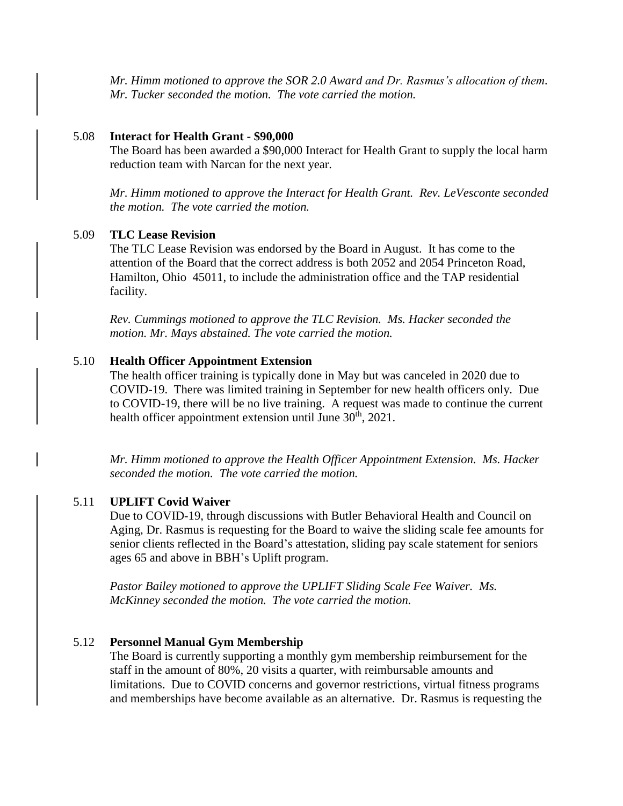*Mr. Himm motioned to approve the SOR 2.0 Award and Dr. Rasmus's allocation of them. Mr. Tucker seconded the motion. The vote carried the motion.* 

#### 5.08 **Interact for Health Grant - \$90,000**

The Board has been awarded a \$90,000 Interact for Health Grant to supply the local harm reduction team with Narcan for the next year.

*Mr. Himm motioned to approve the Interact for Health Grant. Rev. LeVesconte seconded the motion. The vote carried the motion.* 

### 5.09 **TLC Lease Revision**

The TLC Lease Revision was endorsed by the Board in August. It has come to the attention of the Board that the correct address is both 2052 and 2054 Princeton Road, Hamilton, Ohio 45011, to include the administration office and the TAP residential facility.

*Rev. Cummings motioned to approve the TLC Revision. Ms. Hacker seconded the motion. Mr. Mays abstained. The vote carried the motion.* 

#### 5.10 **Health Officer Appointment Extension**

The health officer training is typically done in May but was canceled in 2020 due to COVID-19. There was limited training in September for new health officers only. Due to COVID-19, there will be no live training. A request was made to continue the current health officer appointment extension until June  $30<sup>th</sup>$ ,  $2021$ .

*Mr. Himm motioned to approve the Health Officer Appointment Extension. Ms. Hacker seconded the motion. The vote carried the motion.* 

#### 5.11 **UPLIFT Covid Waiver**

Due to COVID-19, through discussions with Butler Behavioral Health and Council on Aging, Dr. Rasmus is requesting for the Board to waive the sliding scale fee amounts for senior clients reflected in the Board's attestation, sliding pay scale statement for seniors ages 65 and above in BBH's Uplift program.

*Pastor Bailey motioned to approve the UPLIFT Sliding Scale Fee Waiver. Ms. McKinney seconded the motion. The vote carried the motion.*

#### 5.12 **Personnel Manual Gym Membership**

The Board is currently supporting a monthly gym membership reimbursement for the staff in the amount of 80%, 20 visits a quarter, with reimbursable amounts and limitations. Due to COVID concerns and governor restrictions, virtual fitness programs and memberships have become available as an alternative. Dr. Rasmus is requesting the